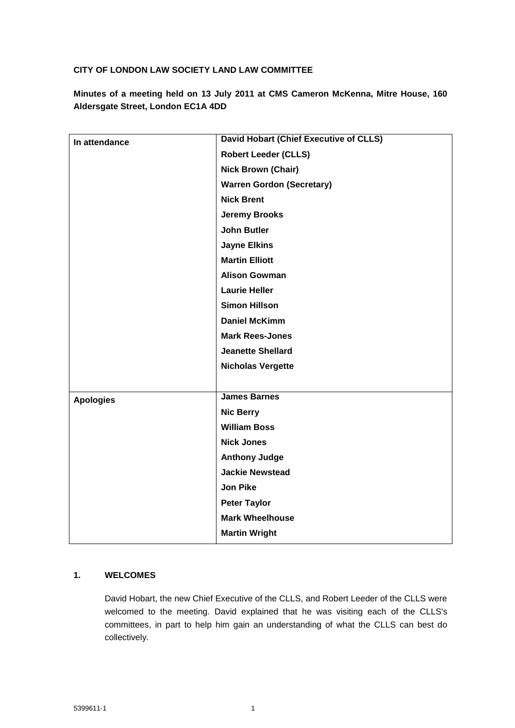## **CITY OF LONDON LAW SOCIETY LAND LAW COMMITTEE**

**Minutes of a meeting held on 13 July 2011 at CMS Cameron McKenna, Mitre House, 160 Aldersgate Street, London EC1A 4DD**

| In attendance    | David Hobart (Chief Executive of CLLS) |
|------------------|----------------------------------------|
|                  | <b>Robert Leeder (CLLS)</b>            |
|                  | <b>Nick Brown (Chair)</b>              |
|                  | <b>Warren Gordon (Secretary)</b>       |
|                  | <b>Nick Brent</b>                      |
|                  | <b>Jeremy Brooks</b>                   |
|                  | <b>John Butler</b>                     |
|                  | <b>Jayne Elkins</b>                    |
|                  | <b>Martin Elliott</b>                  |
|                  | <b>Alison Gowman</b>                   |
|                  | <b>Laurie Heller</b>                   |
|                  | <b>Simon Hillson</b>                   |
|                  | <b>Daniel McKimm</b>                   |
|                  | <b>Mark Rees-Jones</b>                 |
|                  | <b>Jeanette Shellard</b>               |
|                  | <b>Nicholas Vergette</b>               |
|                  |                                        |
| <b>Apologies</b> | <b>James Barnes</b>                    |
|                  | <b>Nic Berry</b>                       |
|                  | <b>William Boss</b>                    |
|                  | <b>Nick Jones</b>                      |
|                  | <b>Anthony Judge</b>                   |
|                  | <b>Jackie Newstead</b>                 |
|                  | <b>Jon Pike</b>                        |
|                  | <b>Peter Taylor</b>                    |
|                  | <b>Mark Wheelhouse</b>                 |
|                  | <b>Martin Wright</b>                   |

## **1. WELCOMES**

David Hobart, the new Chief Executive of the CLLS, and Robert Leeder of the CLLS were welcomed to the meeting. David explained that he was visiting each of the CLLS's committees, in part to help him gain an understanding of what the CLLS can best do collectively.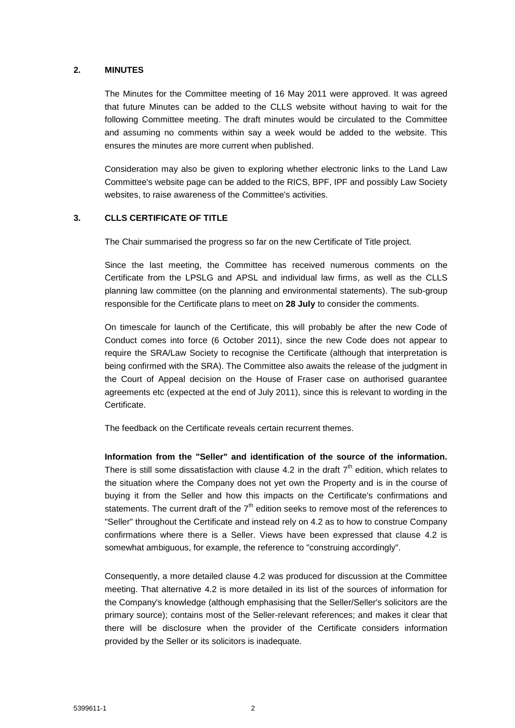#### **2. MINUTES**

The Minutes for the Committee meeting of 16 May 2011 were approved. It was agreed that future Minutes can be added to the CLLS website without having to wait for the following Committee meeting. The draft minutes would be circulated to the Committee and assuming no comments within say a week would be added to the website. This ensures the minutes are more current when published.

Consideration may also be given to exploring whether electronic links to the Land Law Committee's website page can be added to the RICS, BPF, IPF and possibly Law Society websites, to raise awareness of the Committee's activities.

### **3. CLLS CERTIFICATE OF TITLE**

The Chair summarised the progress so far on the new Certificate of Title project.

Since the last meeting, the Committee has received numerous comments on the Certificate from the LPSLG and APSL and individual law firms, as well as the CLLS planning law committee (on the planning and environmental statements). The sub-group responsible for the Certificate plans to meet on **28 July** to consider the comments.

On timescale for launch of the Certificate, this will probably be after the new Code of Conduct comes into force (6 October 2011), since the new Code does not appear to require the SRA/Law Society to recognise the Certificate (although that interpretation is being confirmed with the SRA). The Committee also awaits the release of the judgment in the Court of Appeal decision on the House of Fraser case on authorised guarantee agreements etc (expected at the end of July 2011), since this is relevant to wording in the **Certificate** 

The feedback on the Certificate reveals certain recurrent themes.

**Information from the "Seller" and identification of the source of the information.** There is still some dissatisfaction with clause 4.2 in the draft  $7<sup>th</sup>$  edition, which relates to the situation where the Company does not yet own the Property and is in the course of buying it from the Seller and how this impacts on the Certificate's confirmations and statements. The current draft of the  $7<sup>th</sup>$  edition seeks to remove most of the references to "Seller" throughout the Certificate and instead rely on 4.2 as to how to construe Company confirmations where there is a Seller. Views have been expressed that clause 4.2 is somewhat ambiguous, for example, the reference to "construing accordingly".

Consequently, a more detailed clause 4.2 was produced for discussion at the Committee meeting. That alternative 4.2 is more detailed in its list of the sources of information for the Company's knowledge (although emphasising that the Seller/Seller's solicitors are the primary source); contains most of the Seller-relevant references; and makes it clear that there will be disclosure when the provider of the Certificate considers information provided by the Seller or its solicitors is inadequate.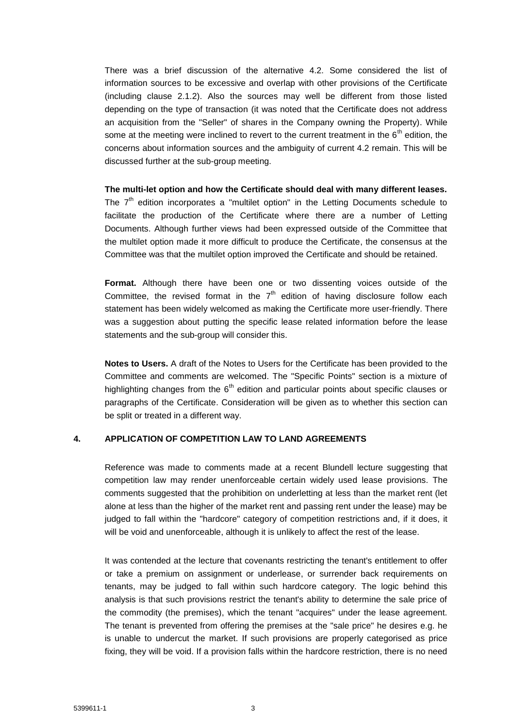There was a brief discussion of the alternative 4.2. Some considered the list of information sources to be excessive and overlap with other provisions of the Certificate (including clause 2.1.2). Also the sources may well be different from those listed depending on the type of transaction (it was noted that the Certificate does not address an acquisition from the "Seller" of shares in the Company owning the Property). While some at the meeting were inclined to revert to the current treatment in the  $6<sup>th</sup>$  edition, the concerns about information sources and the ambiguity of current 4.2 remain. This will be discussed further at the sub-group meeting.

**The multi-let option and how the Certificate should deal with many different leases.**

The  $7<sup>th</sup>$  edition incorporates a "multilet option" in the Letting Documents schedule to facilitate the production of the Certificate where there are a number of Letting Documents. Although further views had been expressed outside of the Committee that the multilet option made it more difficult to produce the Certificate, the consensus at the Committee was that the multilet option improved the Certificate and should be retained.

**Format.** Although there have been one or two dissenting voices outside of the Committee, the revised format in the  $7<sup>th</sup>$  edition of having disclosure follow each statement has been widely welcomed as making the Certificate more user-friendly. There was a suggestion about putting the specific lease related information before the lease statements and the sub-group will consider this.

**Notes to Users.** A draft of the Notes to Users for the Certificate has been provided to the Committee and comments are welcomed. The "Specific Points" section is a mixture of highlighting changes from the  $6<sup>th</sup>$  edition and particular points about specific clauses or paragraphs of the Certificate. Consideration will be given as to whether this section can be split or treated in a different way.

# **4. APPLICATION OF COMPETITION LAW TO LAND AGREEMENTS**

Reference was made to comments made at a recent Blundell lecture suggesting that competition law may render unenforceable certain widely used lease provisions. The comments suggested that the prohibition on underletting at less than the market rent (let alone at less than the higher of the market rent and passing rent under the lease) may be judged to fall within the "hardcore" category of competition restrictions and, if it does, it will be void and unenforceable, although it is unlikely to affect the rest of the lease.

It was contended at the lecture that covenants restricting the tenant's entitlement to offer or take a premium on assignment or underlease, or surrender back requirements on tenants, may be judged to fall within such hardcore category. The logic behind this analysis is that such provisions restrict the tenant's ability to determine the sale price of the commodity (the premises), which the tenant "acquires" under the lease agreement. The tenant is prevented from offering the premises at the "sale price" he desires e.g. he is unable to undercut the market. If such provisions are properly categorised as price fixing, they will be void. If a provision falls within the hardcore restriction, there is no need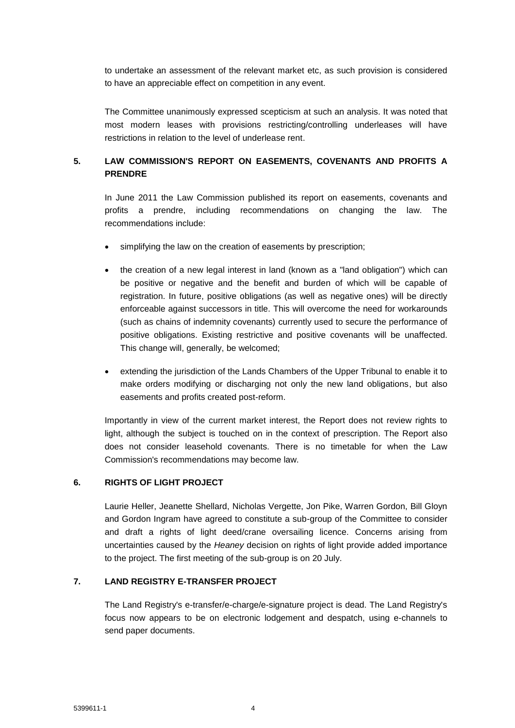to undertake an assessment of the relevant market etc, as such provision is considered to have an appreciable effect on competition in any event.

The Committee unanimously expressed scepticism at such an analysis. It was noted that most modern leases with provisions restricting/controlling underleases will have restrictions in relation to the level of underlease rent.

# **5. LAW COMMISSION'S REPORT ON EASEMENTS, COVENANTS AND PROFITS A PRENDRE**

In June 2011 the Law Commission published its report on easements, covenants and profits a prendre, including recommendations on changing the law. The recommendations include:

- simplifying the law on the creation of easements by prescription;
- the creation of a new legal interest in land (known as a "land obligation") which can be positive or negative and the benefit and burden of which will be capable of registration. In future, positive obligations (as well as negative ones) will be directly enforceable against successors in title. This will overcome the need for workarounds (such as chains of indemnity covenants) currently used to secure the performance of positive obligations. Existing restrictive and positive covenants will be unaffected. This change will, generally, be welcomed;
- extending the jurisdiction of the Lands Chambers of the Upper Tribunal to enable it to make orders modifying or discharging not only the new land obligations, but also easements and profits created post-reform.

Importantly in view of the current market interest, the Report does not review rights to light, although the subject is touched on in the context of prescription. The Report also does not consider leasehold covenants. There is no timetable for when the Law Commission's recommendations may become law.

### **6. RIGHTS OF LIGHT PROJECT**

Laurie Heller, Jeanette Shellard, Nicholas Vergette, Jon Pike, Warren Gordon, Bill Gloyn and Gordon Ingram have agreed to constitute a sub-group of the Committee to consider and draft a rights of light deed/crane oversailing licence. Concerns arising from uncertainties caused by the *Heaney* decision on rights of light provide added importance to the project. The first meeting of the sub-group is on 20 July.

### **7. LAND REGISTRY E-TRANSFER PROJECT**

The Land Registry's e-transfer/e-charge/e-signature project is dead. The Land Registry's focus now appears to be on electronic lodgement and despatch, using e-channels to send paper documents.